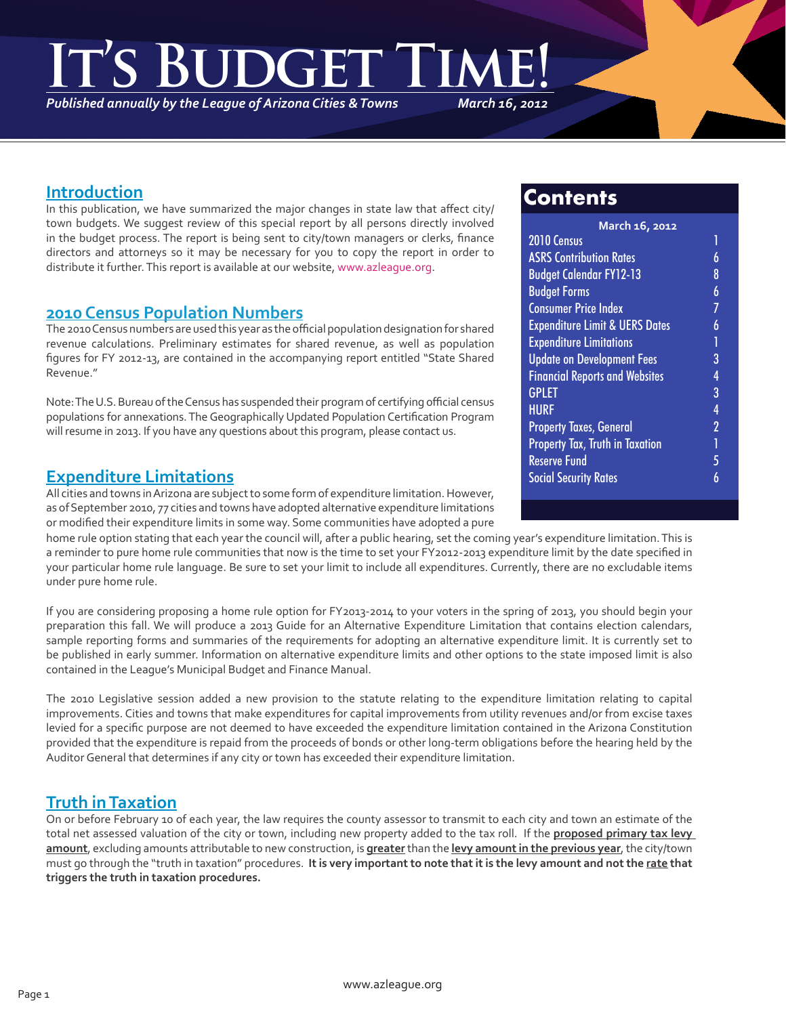# **It's Budget Time!**

*Published annually by the League of Arizona Cities & Towns*

*March 16, 2012*

### **Introduction**

In this publication, we have summarized the major changes in state law that affect city/ town budgets. We suggest review of this special report by all persons directly involved in the budget process. The report is being sent to city/town managers or clerks, finance directors and attorneys so it may be necessary for you to copy the report in order to distribute it further. This report is available at our website, www.azleague.org.

# **2010 Census Population Numbers**

The 2010 Census numbers are used this year as the official population designation for shared revenue calculations. Preliminary estimates for shared revenue, as well as population figures for FY 2012-13, are contained in the accompanying report entitled "State Shared Revenue."

Note: The U.S. Bureau of the Census has suspended their program of certifying official census populations for annexations. The Geographically Updated Population Certification Program will resume in 2013. If you have any questions about this program, please contact us.

# **Expenditure Limitations**

All cities and towns in Arizona are subject to some form of expenditure limitation. However, as of September 2010, 77 cities and towns have adopted alternative expenditure limitations or modified their expenditure limits in some way. Some communities have adopted a pure

home rule option stating that each year the council will, after a public hearing, set the coming year's expenditure limitation. This is a reminder to pure home rule communities that now is the time to set your FY2012-2013 expenditure limit by the date specified in your particular home rule language. Be sure to set your limit to include all expenditures. Currently, there are no excludable items under pure home rule.

If you are considering proposing a home rule option for FY2013-2014 to your voters in the spring of 2013, you should begin your preparation this fall. We will produce a 2013 Guide for an Alternative Expenditure Limitation that contains election calendars, sample reporting forms and summaries of the requirements for adopting an alternative expenditure limit. It is currently set to be published in early summer. Information on alternative expenditure limits and other options to the state imposed limit is also contained in the League's Municipal Budget and Finance Manual.

The 2010 Legislative session added a new provision to the statute relating to the expenditure limitation relating to capital improvements. Cities and towns that make expenditures for capital improvements from utility revenues and/or from excise taxes levied for a specific purpose are not deemed to have exceeded the expenditure limitation contained in the Arizona Constitution provided that the expenditure is repaid from the proceeds of bonds or other long-term obligations before the hearing held by the Auditor General that determines if any city or town has exceeded their expenditure limitation.

# **Truth in Taxation**

On or before February 10 of each year, the law requires the county assessor to transmit to each city and town an estimate of the total net assessed valuation of the city or town, including new property added to the tax roll. If the **proposed primary tax levy amount**, excluding amounts attributable to new construction, is **greater** than the **levy amount in the previous year**, the city/town must go through the "truth in taxation" procedures. **It is very important to note that it is the levy amount and not the rate that triggers the truth in taxation procedures.**

# **Contents**

| March 16, 2012                            |                |
|-------------------------------------------|----------------|
| 2010 Census                               | 1              |
| <b>ASRS Contribution Rates</b>            | 6              |
| <b>Budget Calendar FY12-13</b>            | 8              |
| <b>Budget Forms</b>                       | 6              |
| <b>Consumer Price Index</b>               | $\overline{I}$ |
| <b>Expenditure Limit &amp; UERS Dates</b> | 6              |
| <b>Expenditure Limitations</b>            | 1              |
| <b>Update on Development Fees</b>         | 3              |
| <b>Financial Reports and Websites</b>     | 4              |
| <b>GPLET</b>                              | 3              |
| HURF                                      | $\overline{4}$ |
| <b>Property Taxes, General</b>            | $\overline{2}$ |
| Property Tax, Truth in Taxation           |                |
| <b>Reserve Fund</b>                       | 5              |
| <b>Social Security Rates</b>              |                |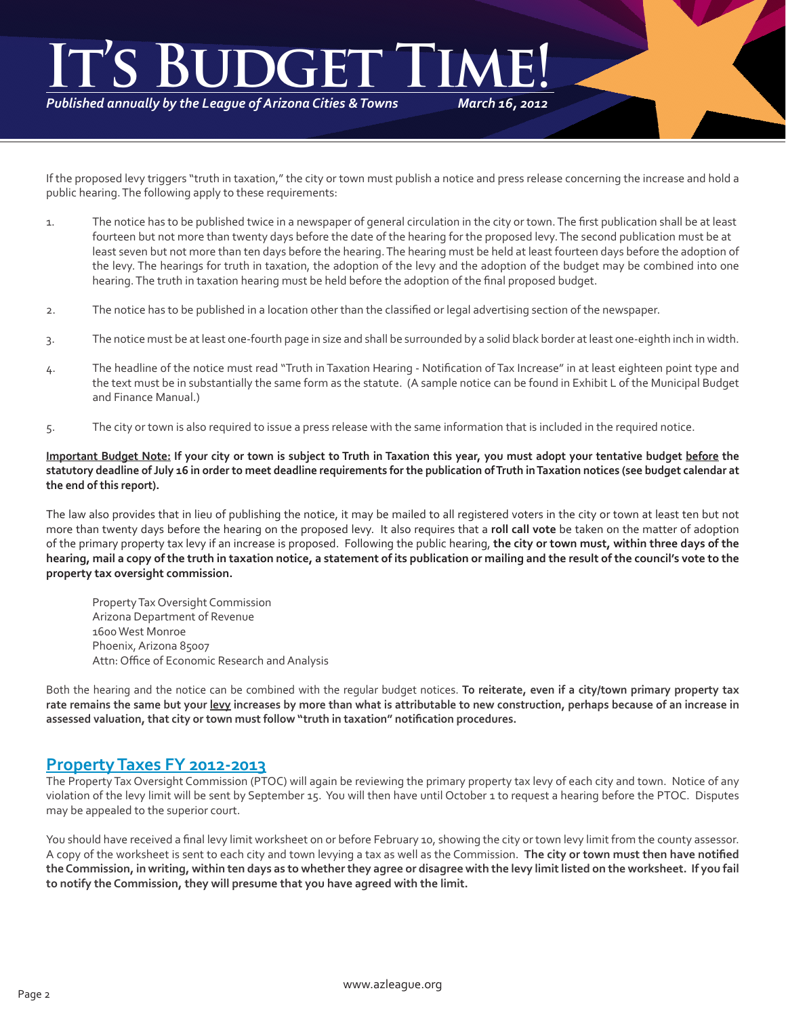# *March 16, 2012* **It's Budget Time!**

*Published annually by the League of Arizona Cities & Towns*

If the proposed levy triggers "truth in taxation," the city or town must publish a notice and press release concerning the increase and hold a public hearing. The following apply to these requirements:

- 1. The notice has to be published twice in a newspaper of general circulation in the city or town. The first publication shall be at least fourteen but not more than twenty days before the date of the hearing for the proposed levy. The second publication must be at least seven but not more than ten days before the hearing. The hearing must be held at least fourteen days before the adoption of the levy. The hearings for truth in taxation, the adoption of the levy and the adoption of the budget may be combined into one hearing. The truth in taxation hearing must be held before the adoption of the final proposed budget.
- 2. The notice has to be published in a location other than the classified or legal advertising section of the newspaper.
- 3. The notice must be at least one-fourth page in size and shall be surrounded by a solid black border at least one-eighth inch in width.
- 4. The headline of the notice must read "Truth in Taxation Hearing Notification of Tax Increase" in at least eighteen point type and the text must be in substantially the same form as the statute. (A sample notice can be found in Exhibit L of the Municipal Budget and Finance Manual.)
- 5. The city or town is also required to issue a press release with the same information that is included in the required notice.

**Important Budget Note: If your city or town is subject to Truth in Taxation this year, you must adopt your tentative budget before the statutory deadline of July 16 in order to meet deadline requirements for the publication of Truth in Taxation notices (see budget calendar at the end of this report).**

The law also provides that in lieu of publishing the notice, it may be mailed to all registered voters in the city or town at least ten but not more than twenty days before the hearing on the proposed levy. It also requires that a **roll call vote** be taken on the matter of adoption of the primary property tax levy if an increase is proposed. Following the public hearing, **the city or town must, within three days of the hearing, mail a copy of the truth in taxation notice, a statement of its publication or mailing and the result of the council's vote to the property tax oversight commission.**

Property Tax Oversight Commission Arizona Department of Revenue 1600 West Monroe Phoenix, Arizona 85007 Attn: Office of Economic Research and Analysis

Both the hearing and the notice can be combined with the regular budget notices. **To reiterate, even if a city/town primary property tax rate remains the same but your levy increases by more than what is attributable to new construction, perhaps because of an increase in assessed valuation, that city or town must follow "truth in taxation" notification procedures.**

### **Property Taxes FY 2012-2013**

The Property Tax Oversight Commission (PTOC) will again be reviewing the primary property tax levy of each city and town. Notice of any violation of the levy limit will be sent by September 15. You will then have until October 1 to request a hearing before the PTOC. Disputes may be appealed to the superior court.

You should have received a final levy limit worksheet on or before February 10, showing the city or town levy limit from the county assessor. A copy of the worksheet is sent to each city and town levying a tax as well as the Commission. **The city or town must then have notified the Commission, in writing, within ten days as to whether they agree or disagree with the levy limit listed on the worksheet. If you fail to notify the Commission, they will presume that you have agreed with the limit.**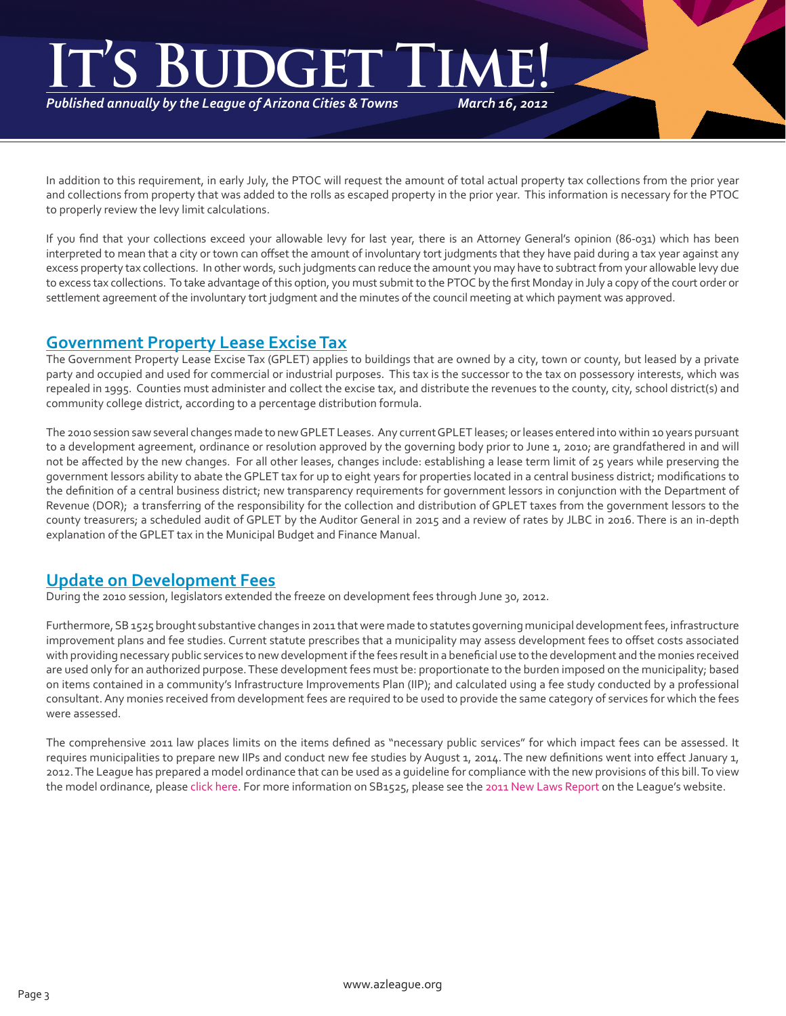# *March 16, 2012* **It's Budget Time!**

*Published annually by the League of Arizona Cities & Towns*

In addition to this requirement, in early July, the PTOC will request the amount of total actual property tax collections from the prior year and collections from property that was added to the rolls as escaped property in the prior year. This information is necessary for the PTOC to properly review the levy limit calculations.

If you find that your collections exceed your allowable levy for last year, there is an Attorney General's opinion (86-031) which has been interpreted to mean that a city or town can offset the amount of involuntary tort judgments that they have paid during a tax year against any excess property tax collections. In other words, such judgments can reduce the amount you may have to subtract from your allowable levy due to excess tax collections. To take advantage of this option, you must submit to the PTOC by the first Monday in July a copy of the court order or settlement agreement of the involuntary tort judgment and the minutes of the council meeting at which payment was approved.

# **Government Property Lease Excise Tax**

The Government Property Lease Excise Tax (GPLET) applies to buildings that are owned by a city, town or county, but leased by a private party and occupied and used for commercial or industrial purposes. This tax is the successor to the tax on possessory interests, which was repealed in 1995. Counties must administer and collect the excise tax, and distribute the revenues to the county, city, school district(s) and community college district, according to a percentage distribution formula.

The 2010 session saw several changes made to new GPLET Leases. Any current GPLET leases; or leases entered into within 10 years pursuant to a development agreement, ordinance or resolution approved by the governing body prior to June 1, 2010; are grandfathered in and will not be affected by the new changes. For all other leases, changes include: establishing a lease term limit of 25 years while preserving the government lessors ability to abate the GPLET tax for up to eight years for properties located in a central business district; modifications to the definition of a central business district; new transparency requirements for government lessors in conjunction with the Department of Revenue (DOR); a transferring of the responsibility for the collection and distribution of GPLET taxes from the government lessors to the county treasurers; a scheduled audit of GPLET by the Auditor General in 2015 and a review of rates by JLBC in 2016. There is an in-depth explanation of the GPLET tax in the Municipal Budget and Finance Manual.

# **Update on Development Fees**

During the 2010 session, legislators extended the freeze on development fees through June 30, 2012.

Furthermore, SB 1525 brought substantive changes in 2011 that were made to statutes governing municipal development fees, infrastructure improvement plans and fee studies. Current statute prescribes that a municipality may assess development fees to offset costs associated with providing necessary public services to new development if the fees result in a beneficial use to the development and the monies received are used only for an authorized purpose. These development fees must be: proportionate to the burden imposed on the municipality; based on items contained in a community's Infrastructure Improvements Plan (IIP); and calculated using a fee study conducted by a professional consultant. Any monies received from development fees are required to be used to provide the same category of services for which the fees were assessed.

The comprehensive 2011 law places limits on the items defined as "necessary public services" for which impact fees can be assessed. It requires municipalities to prepare new IIPs and conduct new fee studies by August 1, 2014. The new definitions went into effect January 1, 2012. The League has prepared a model ordinance that can be used as a guideline for compliance with the new provisions of this bill. To view the model ordinance, please [click here.](http://az-lact.civicplus.com/DocumentView.aspx?DID=190) For more information on SB1525, please see the [2011 New Laws Report](http://az-lact.civicplus.com/DocumentView.aspx?DID=5) on the League's website.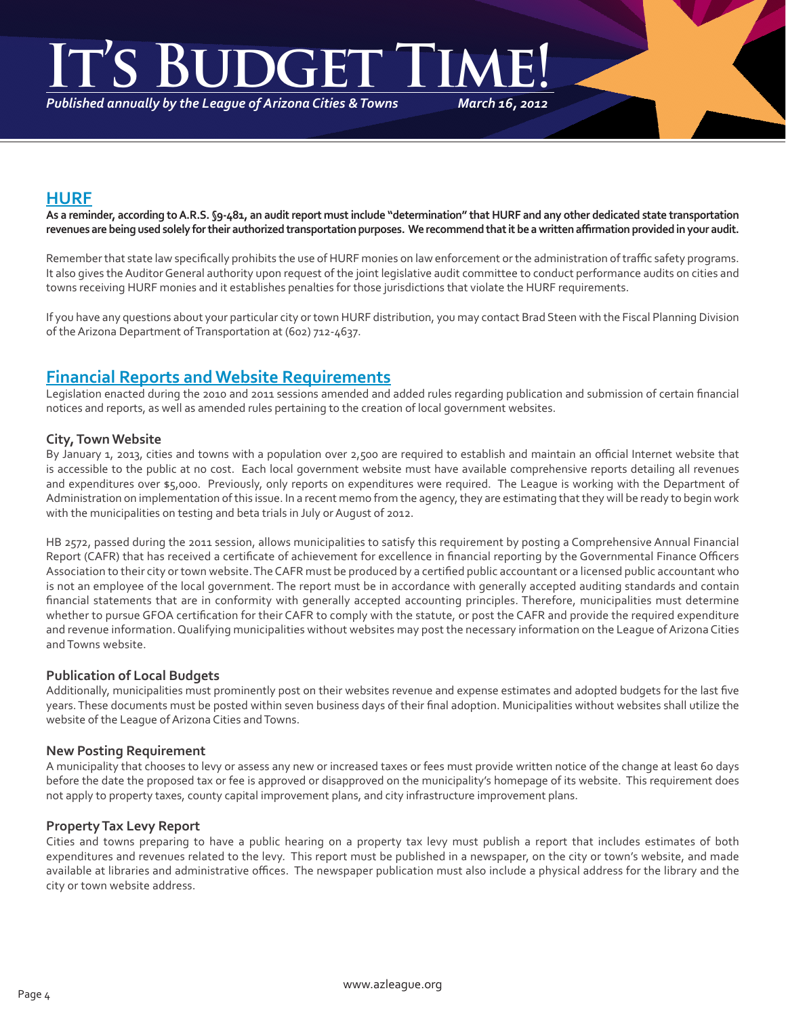# **IGE**

*Published annually by the League of Arizona Cities & Towns*

*March 16, 2012*

# **HURF**

**As a reminder, according to A.R.S. §9-481, an audit report must include "determination" that HURF and any other dedicated state transportation revenues are being used solely for their authorized transportation purposes. We recommend that it be a written affirmation provided in your audit.**

Remember that state law specifically prohibits the use of HURF monies on law enforcement or the administration of traffic safety programs. It also gives the Auditor General authority upon request of the joint legislative audit committee to conduct performance audits on cities and towns receiving HURF monies and it establishes penalties for those jurisdictions that violate the HURF requirements.

If you have any questions about your particular city or town HURF distribution, you may contact Brad Steen with the Fiscal Planning Division of the Arizona Department of Transportation at (602) 712-4637.

# **Financial Reports and Website Requirements**

Legislation enacted during the 2010 and 2011 sessions amended and added rules regarding publication and submission of certain financial notices and reports, as well as amended rules pertaining to the creation of local government websites.

#### **City, Town Website**

By January 1, 2013, cities and towns with a population over 2,500 are required to establish and maintain an official Internet website that is accessible to the public at no cost. Each local government website must have available comprehensive reports detailing all revenues and expenditures over \$5,000. Previously, only reports on expenditures were required. The League is working with the Department of Administration on implementation of this issue. In a recent memo from the agency, they are estimating that they will be ready to begin work with the municipalities on testing and beta trials in July or August of 2012.

HB 2572, passed during the 2011 session, allows municipalities to satisfy this requirement by posting a Comprehensive Annual Financial Report (CAFR) that has received a certificate of achievement for excellence in financial reporting by the Governmental Finance Officers Association to their city or town website. The CAFR must be produced by a certified public accountant or a licensed public accountant who is not an employee of the local government. The report must be in accordance with generally accepted auditing standards and contain financial statements that are in conformity with generally accepted accounting principles. Therefore, municipalities must determine whether to pursue GFOA certification for their CAFR to comply with the statute, or post the CAFR and provide the required expenditure and revenue information. Qualifying municipalities without websites may post the necessary information on the League of Arizona Cities and Towns website.

#### **Publication of Local Budgets**

Additionally, municipalities must prominently post on their websites revenue and expense estimates and adopted budgets for the last five years. These documents must be posted within seven business days of their final adoption. Municipalities without websites shall utilize the website of the League of Arizona Cities and Towns.

#### **New Posting Requirement**

A municipality that chooses to levy or assess any new or increased taxes or fees must provide written notice of the change at least 60 days before the date the proposed tax or fee is approved or disapproved on the municipality's homepage of its website. This requirement does not apply to property taxes, county capital improvement plans, and city infrastructure improvement plans.

#### **Property Tax Levy Report**

Cities and towns preparing to have a public hearing on a property tax levy must publish a report that includes estimates of both expenditures and revenues related to the levy. This report must be published in a newspaper, on the city or town's website, and made available at libraries and administrative offices. The newspaper publication must also include a physical address for the library and the city or town website address.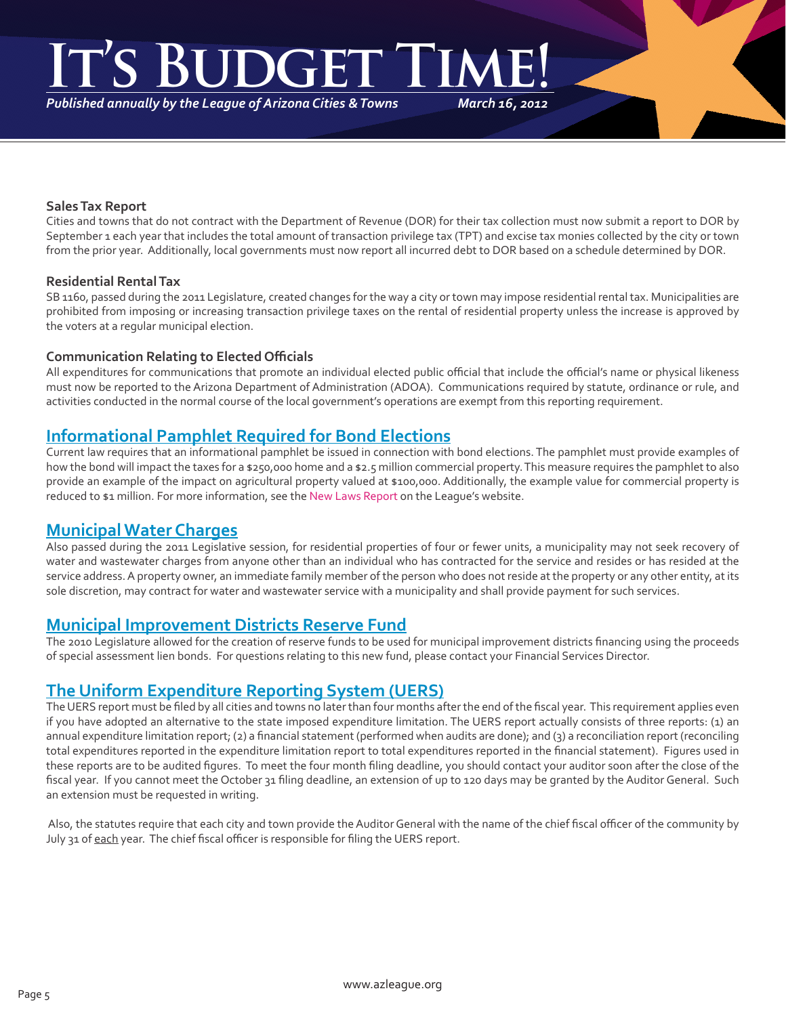# **IGET**

*Published annually by the League of Arizona Cities & Towns*

*March 16, 2012*

#### **Sales Tax Report**

Cities and towns that do not contract with the Department of Revenue (DOR) for their tax collection must now submit a report to DOR by September 1 each year that includes the total amount of transaction privilege tax (TPT) and excise tax monies collected by the city or town from the prior year. Additionally, local governments must now report all incurred debt to DOR based on a schedule determined by DOR.

#### **Residential Rental Tax**

SB 1160, passed during the 2011 Legislature, created changes for the way a city or town may impose residential rental tax. Municipalities are prohibited from imposing or increasing transaction privilege taxes on the rental of residential property unless the increase is approved by the voters at a regular municipal election.

#### **Communication Relating to Elected Officials**

All expenditures for communications that promote an individual elected public official that include the official's name or physical likeness must now be reported to the Arizona Department of Administration (ADOA). Communications required by statute, ordinance or rule, and activities conducted in the normal course of the local government's operations are exempt from this reporting requirement.

# **Informational Pamphlet Required for Bond Elections**

Current law requires that an informational pamphlet be issued in connection with bond elections. The pamphlet must provide examples of how the bond will impact the taxes for a \$250,000 home and a \$2.5 million commercial property. This measure requires the pamphlet to also provide an example of the impact on agricultural property valued at \$100,000. Additionally, the example value for commercial property is reduced to \$1 million. For more information, see the [New Laws Report](http://az-lact.civicplus.com/DocumentView.aspx?DID=5) on the League's website.

### **Municipal Water Charges**

Also passed during the 2011 Legislative session, for residential properties of four or fewer units, a municipality may not seek recovery of water and wastewater charges from anyone other than an individual who has contracted for the service and resides or has resided at the service address. A property owner, an immediate family member of the person who does not reside at the property or any other entity, at its sole discretion, may contract for water and wastewater service with a municipality and shall provide payment for such services.

#### **Municipal Improvement Districts Reserve Fund**

The 2010 Legislature allowed for the creation of reserve funds to be used for municipal improvement districts financing using the proceeds of special assessment lien bonds. For questions relating to this new fund, please contact your Financial Services Director.

#### **The Uniform Expenditure Reporting System (UERS)**

The UERS report must be filed by all cities and towns no later than four months after the end of the fiscal year. This requirement applies even if you have adopted an alternative to the state imposed expenditure limitation. The UERS report actually consists of three reports: (1) an annual expenditure limitation report; (2) a financial statement (performed when audits are done); and (3) a reconciliation report (reconciling total expenditures reported in the expenditure limitation report to total expenditures reported in the financial statement). Figures used in these reports are to be audited figures. To meet the four month filing deadline, you should contact your auditor soon after the close of the fiscal year. If you cannot meet the October 31 filing deadline, an extension of up to 120 days may be granted by the Auditor General. Such an extension must be requested in writing.

 Also, the statutes require that each city and town provide the Auditor General with the name of the chief fiscal officer of the community by July 31 of each year. The chief fiscal officer is responsible for filing the UERS report.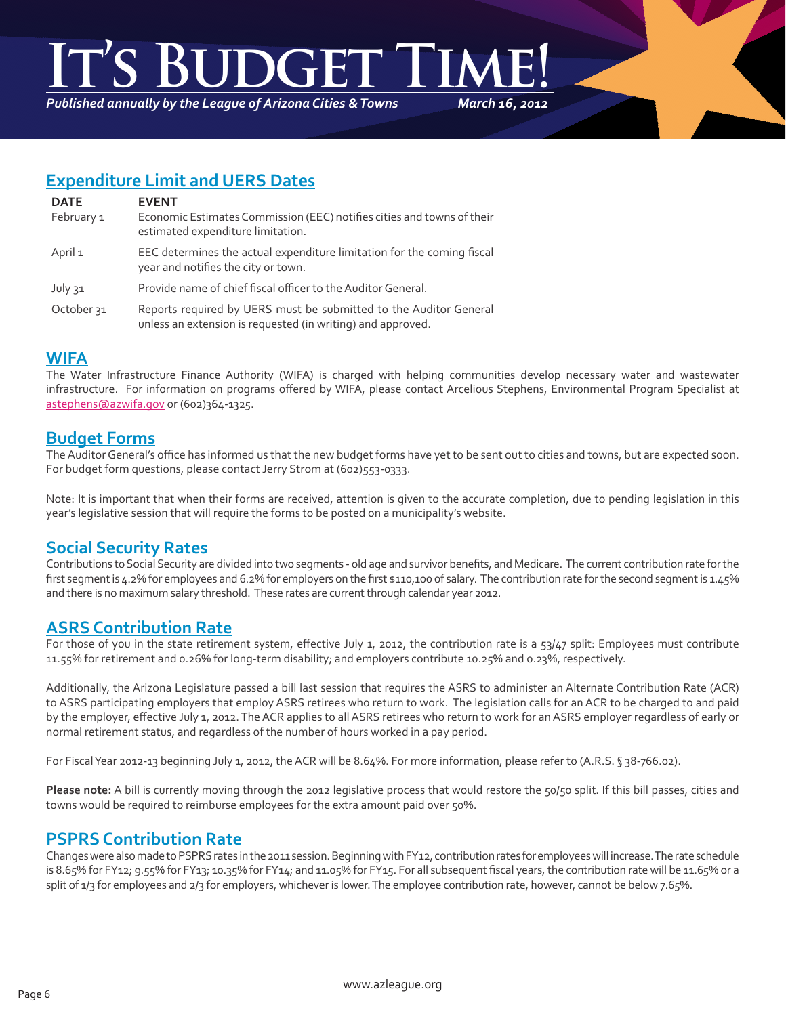# **It's Budget Time!**

*Published annually by the League of Arizona Cities & Towns*

*March 16, 2012*

# **Expenditure Limit and UERS Dates**

| <b>DATE</b>           | <b>EVENT</b>                                                                                                                     |
|-----------------------|----------------------------------------------------------------------------------------------------------------------------------|
| February 1            | Economic Estimates Commission (EEC) notifies cities and towns of their<br>estimated expenditure limitation.                      |
| April 1               | EEC determines the actual expenditure limitation for the coming fiscal<br>year and notifies the city or town.                    |
| July 31               | Provide name of chief fiscal officer to the Auditor General.                                                                     |
| October <sub>31</sub> | Reports required by UERS must be submitted to the Auditor General<br>unless an extension is requested (in writing) and approved. |

# **WIFA**

The Water Infrastructure Finance Authority (WIFA) is charged with helping communities develop necessary water and wastewater infrastructure. For information on programs offered by WIFA, please contact Arcelious Stephens, Environmental Program Specialist at astephens@azwifa.gov or (602)364-1325.

# **Budget Forms**

The Auditor General's office has informed us that the new budget forms have yet to be sent out to cities and towns, but are expected soon. For budget form questions, please contact Jerry Strom at (602)553-0333.

Note: It is important that when their forms are received, attention is given to the accurate completion, due to pending legislation in this year's legislative session that will require the forms to be posted on a municipality's website.

# **Social Security Rates**

Contributions to Social Security are divided into two segments - old age and survivor benefits, and Medicare. The current contribution rate for the first segment is 4.2% for employees and 6.2% for employers on the first \$110,100 of salary. The contribution rate for the second segment is 1.45% and there is no maximum salary threshold. These rates are current through calendar year 2012.

# **ASRS Contribution Rate**

For those of you in the state retirement system, effective July 1, 2012, the contribution rate is a 53/47 split: Employees must contribute 11.55% for retirement and 0.26% for long-term disability; and employers contribute 10.25% and 0.23%, respectively.

Additionally, the Arizona Legislature passed a bill last session that requires the ASRS to administer an Alternate Contribution Rate (ACR) to ASRS participating employers that employ ASRS retirees who return to work. The legislation calls for an ACR to be charged to and paid by the employer, effective July 1, 2012. The ACR applies to all ASRS retirees who return to work for an ASRS employer regardless of early or normal retirement status, and regardless of the number of hours worked in a pay period.

For Fiscal Year 2012-13 beginning July 1, 2012, the ACR will be 8.64%. For more information, please refer to (A.R.S. § 38-766.02).

**Please note:** A bill is currently moving through the 2012 legislative process that would restore the 50/50 split. If this bill passes, cities and towns would be required to reimburse employees for the extra amount paid over 50%.

# **PSPRS Contribution Rate**

Changes were also made to PSPRS rates in the 2011 session. Beginning with FY12, contribution rates for employees will increase. The rate schedule is 8.65% for FY12; 9.55% for FY13; 10.35% for FY14; and 11.05% for FY15. For all subsequent fiscal years, the contribution rate will be 11.65% or a split of 1/3 for employees and 2/3 for employers, whichever is lower. The employee contribution rate, however, cannot be below 7.65%.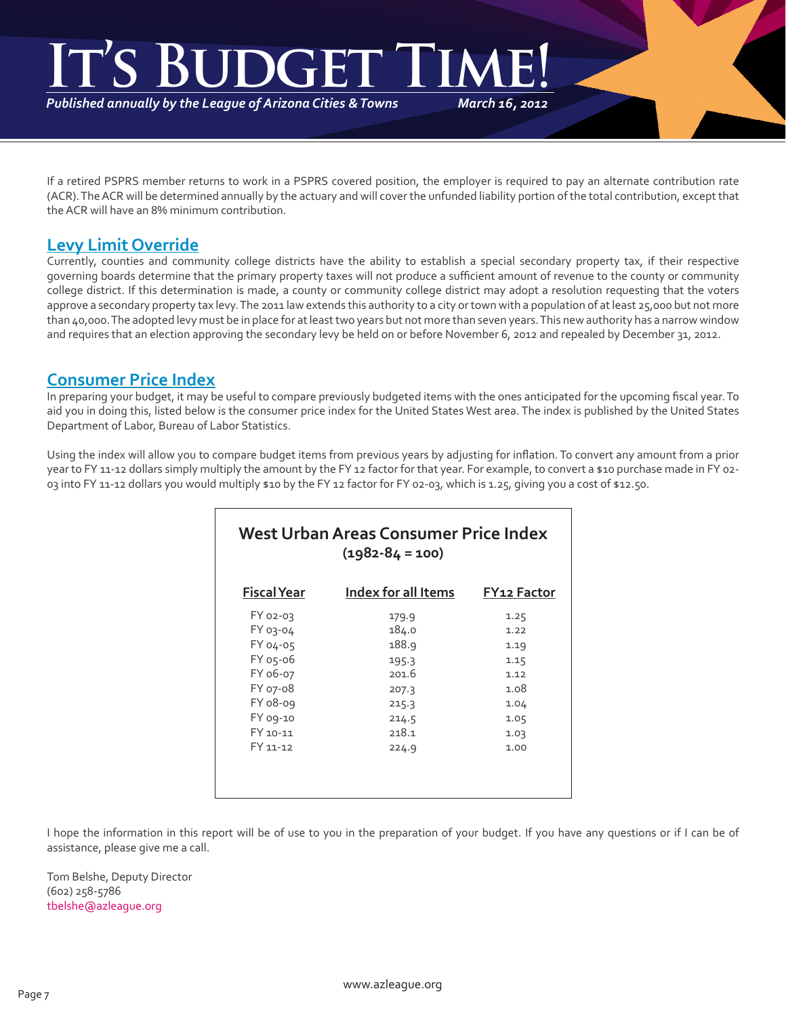# *March 16, 2012* **It's Budget Time!**

*Published annually by the League of Arizona Cities & Towns*

If a retired PSPRS member returns to work in a PSPRS covered position, the employer is required to pay an alternate contribution rate (ACR). The ACR will be determined annually by the actuary and will cover the unfunded liability portion of the total contribution, except that the ACR will have an 8% minimum contribution.

# **Levy Limit Override**

Currently, counties and community college districts have the ability to establish a special secondary property tax, if their respective governing boards determine that the primary property taxes will not produce a sufficient amount of revenue to the county or community college district. If this determination is made, a county or community college district may adopt a resolution requesting that the voters approve a secondary property tax levy. The 2011 law extends this authority to a city or town with a population of at least 25,000 but not more than 40,000. The adopted levy must be in place for at least two years but not more than seven years. This new authority has a narrow window and requires that an election approving the secondary levy be held on or before November 6, 2012 and repealed by December 31, 2012.

# **Consumer Price Index**

In preparing your budget, it may be useful to compare previously budgeted items with the ones anticipated for the upcoming fiscal year. To aid you in doing this, listed below is the consumer price index for the United States West area. The index is published by the United States Department of Labor, Bureau of Labor Statistics.

Using the index will allow you to compare budget items from previous years by adjusting for inflation. To convert any amount from a prior year to FY 11-12 dollars simply multiply the amount by the FY 12 factor for that year. For example, to convert a \$10 purchase made in FY 02-03 into FY 11-12 dollars you would multiply \$10 by the FY 12 factor for FY 02-03, which is 1.25, giving you a cost of \$12.50.

| West Urban Areas Consumer Price Index<br>$(1982 - 84 = 100)$ |                     |                    |  |  |
|--------------------------------------------------------------|---------------------|--------------------|--|--|
| <b>Fiscal Year</b>                                           | Index for all Items | <b>FY12 Factor</b> |  |  |
| FY 02-03                                                     | 179.9               | 1.25               |  |  |
| <b>FY 03-04</b>                                              | 184.0               | 1.22               |  |  |
| FY 04-05                                                     | 188.9               | 1.19               |  |  |
| FY 05-06                                                     | 195.3               | 1.15               |  |  |
| FY 06-07                                                     | 201.6               | 1.12               |  |  |
| FY 07-08                                                     | 207.3               | 1.08               |  |  |
| FY 08-09                                                     | 215.3               | 1.04               |  |  |
| FY 09-10                                                     | 214.5               | 1.05               |  |  |
| FY 10-11                                                     | 218.1               | 1.03               |  |  |
| FY 11-12                                                     | 224.9               | 1.00               |  |  |
|                                                              |                     |                    |  |  |

I hope the information in this report will be of use to you in the preparation of your budget. If you have any questions or if I can be of assistance, please give me a call.

Tom Belshe, Deputy Director (602) 258-5786 tbelshe@azleague.org